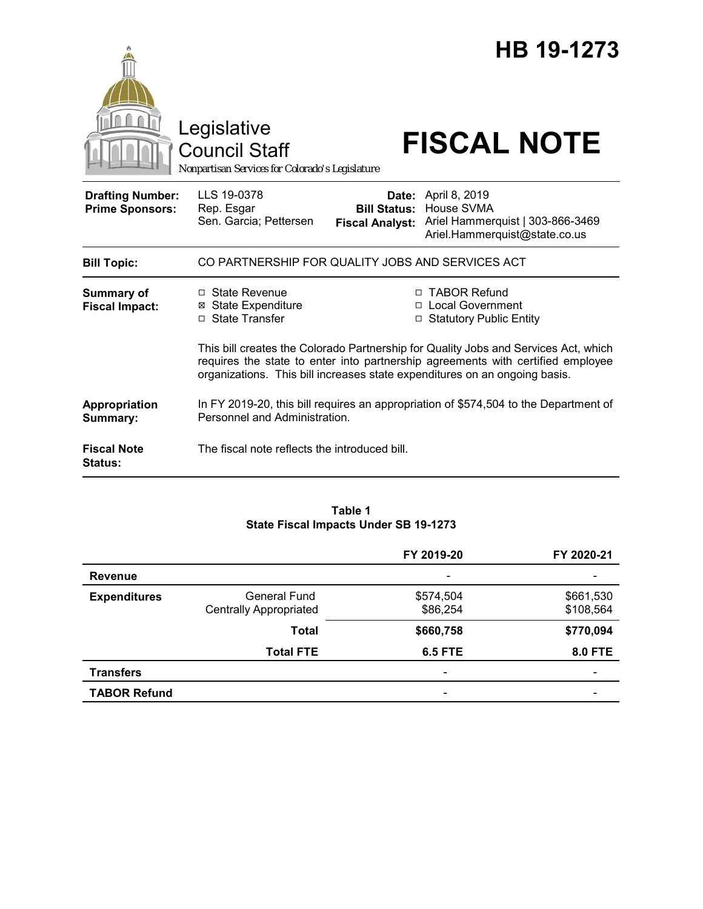|                                                   | Legislative<br><b>Council Staff</b><br>Nonpartisan Services for Colorado's Legislature                                |                                                        | HB 19-1273<br><b>FISCAL NOTE</b>                                                                                                                                                                                                                 |  |  |
|---------------------------------------------------|-----------------------------------------------------------------------------------------------------------------------|--------------------------------------------------------|--------------------------------------------------------------------------------------------------------------------------------------------------------------------------------------------------------------------------------------------------|--|--|
| <b>Drafting Number:</b><br><b>Prime Sponsors:</b> | LLS 19-0378<br>Rep. Esgar<br>Sen. Garcia; Pettersen                                                                   | Date:<br><b>Bill Status:</b><br><b>Fiscal Analyst:</b> | April 8, 2019<br>House SVMA<br>Ariel Hammerquist   303-866-3469<br>Ariel.Hammerquist@state.co.us                                                                                                                                                 |  |  |
| <b>Bill Topic:</b>                                | CO PARTNERSHIP FOR QUALITY JOBS AND SERVICES ACT                                                                      |                                                        |                                                                                                                                                                                                                                                  |  |  |
| Summary of<br><b>Fiscal Impact:</b>               | $\Box$ State Revenue<br><b>State Expenditure</b><br>⊠<br>□ State Transfer                                             | п                                                      | □ TABOR Refund<br><b>Local Government</b><br>□ Statutory Public Entity<br>This bill creates the Colorado Partnership for Quality Jobs and Services Act, which<br>requires the state to enter into partnership agreements with certified employee |  |  |
|                                                   | organizations. This bill increases state expenditures on an ongoing basis.                                            |                                                        |                                                                                                                                                                                                                                                  |  |  |
| Appropriation<br>Summary:                         | In FY 2019-20, this bill requires an appropriation of \$574,504 to the Department of<br>Personnel and Administration. |                                                        |                                                                                                                                                                                                                                                  |  |  |
| <b>Fiscal Note</b><br><b>Status:</b>              | The fiscal note reflects the introduced bill.                                                                         |                                                        |                                                                                                                                                                                                                                                  |  |  |

### **Table 1 State Fiscal Impacts Under SB 19-1273**

|                     |                                                      | FY 2019-20               | FY 2020-21             |
|---------------------|------------------------------------------------------|--------------------------|------------------------|
| <b>Revenue</b>      |                                                      | $\overline{\phantom{a}}$ |                        |
| <b>Expenditures</b> | <b>General Fund</b><br><b>Centrally Appropriated</b> | \$574,504<br>\$86,254    | \$661,530<br>\$108,564 |
|                     | <b>Total</b>                                         | \$660,758                | \$770,094              |
|                     | <b>Total FTE</b>                                     | <b>6.5 FTE</b>           | <b>8.0 FTE</b>         |
| <b>Transfers</b>    |                                                      | $\overline{\phantom{a}}$ |                        |
| <b>TABOR Refund</b> |                                                      | $\overline{\phantom{0}}$ |                        |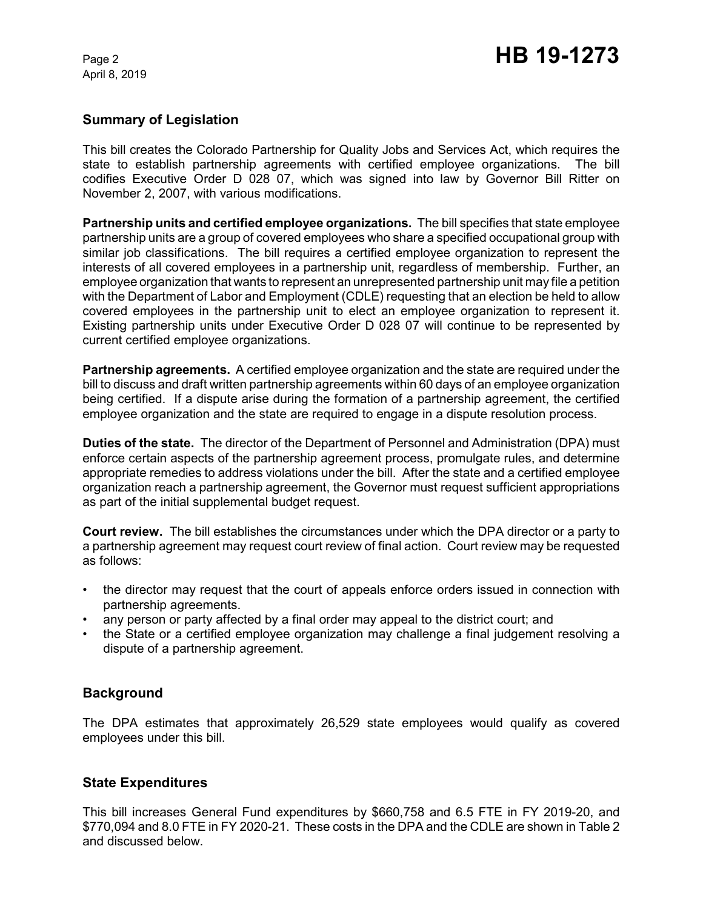April 8, 2019

## **Summary of Legislation**

This bill creates the Colorado Partnership for Quality Jobs and Services Act, which requires the state to establish partnership agreements with certified employee organizations. The bill codifies Executive Order D 028 07, which was signed into law by Governor Bill Ritter on November 2, 2007, with various modifications.

**Partnership units and certified employee organizations.** The bill specifies that state employee partnership units are a group of covered employees who share a specified occupational group with similar job classifications. The bill requires a certified employee organization to represent the interests of all covered employees in a partnership unit, regardless of membership. Further, an employee organization that wants to represent an unrepresented partnership unit may file a petition with the Department of Labor and Employment (CDLE) requesting that an election be held to allow covered employees in the partnership unit to elect an employee organization to represent it. Existing partnership units under Executive Order D 028 07 will continue to be represented by current certified employee organizations.

**Partnership agreements.** A certified employee organization and the state are required under the bill to discuss and draft written partnership agreements within 60 days of an employee organization being certified. If a dispute arise during the formation of a partnership agreement, the certified employee organization and the state are required to engage in a dispute resolution process.

**Duties of the state.** The director of the Department of Personnel and Administration (DPA) must enforce certain aspects of the partnership agreement process, promulgate rules, and determine appropriate remedies to address violations under the bill. After the state and a certified employee organization reach a partnership agreement, the Governor must request sufficient appropriations as part of the initial supplemental budget request.

**Court review.** The bill establishes the circumstances under which the DPA director or a party to a partnership agreement may request court review of final action. Court review may be requested as follows:

- the director may request that the court of appeals enforce orders issued in connection with partnership agreements.
- any person or party affected by a final order may appeal to the district court; and
- the State or a certified employee organization may challenge a final judgement resolving a dispute of a partnership agreement.

# **Background**

The DPA estimates that approximately 26,529 state employees would qualify as covered employees under this bill.

### **State Expenditures**

This bill increases General Fund expenditures by \$660,758 and 6.5 FTE in FY 2019-20, and \$770,094 and 8.0 FTE in FY 2020-21. These costs in the DPA and the CDLE are shown in Table 2 and discussed below.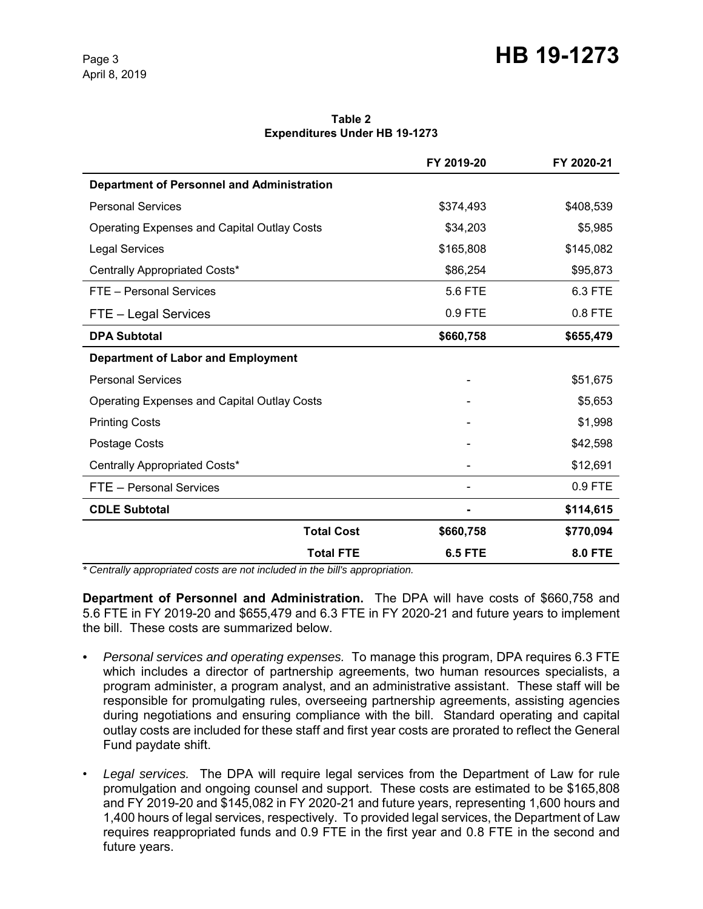#### **Table 2 Expenditures Under HB 19-1273**

|                                                    |                   | FY 2019-20     | FY 2020-21     |
|----------------------------------------------------|-------------------|----------------|----------------|
| <b>Department of Personnel and Administration</b>  |                   |                |                |
| <b>Personal Services</b>                           |                   | \$374,493      | \$408,539      |
| <b>Operating Expenses and Capital Outlay Costs</b> |                   | \$34,203       | \$5,985        |
| <b>Legal Services</b>                              |                   | \$165,808      | \$145,082      |
| Centrally Appropriated Costs*                      |                   | \$86,254       | \$95,873       |
| FTE - Personal Services                            |                   | 5.6 FTE        | 6.3 FTE        |
| FTE - Legal Services                               |                   | 0.9 FTE        | 0.8 FTE        |
| <b>DPA Subtotal</b>                                |                   | \$660,758      | \$655,479      |
| <b>Department of Labor and Employment</b>          |                   |                |                |
| <b>Personal Services</b>                           |                   |                | \$51,675       |
| <b>Operating Expenses and Capital Outlay Costs</b> |                   |                | \$5,653        |
| <b>Printing Costs</b>                              |                   |                | \$1,998        |
| Postage Costs                                      |                   |                | \$42,598       |
| Centrally Appropriated Costs*                      |                   |                | \$12,691       |
| FTE - Personal Services                            |                   |                | 0.9 FTE        |
| <b>CDLE Subtotal</b>                               |                   |                | \$114,615      |
|                                                    | <b>Total Cost</b> | \$660,758      | \$770,094      |
|                                                    | <b>Total FTE</b>  | <b>6.5 FTE</b> | <b>8.0 FTE</b> |

*\* Centrally appropriated costs are not included in the bill's appropriation.*

**Department of Personnel and Administration.** The DPA will have costs of \$660,758 and 5.6 FTE in FY 2019-20 and \$655,479 and 6.3 FTE in FY 2020-21 and future years to implement the bill. These costs are summarized below.

- *Personal services and operating expenses.* To manage this program, DPA requires 6.3 FTE which includes a director of partnership agreements, two human resources specialists, a program administer, a program analyst, and an administrative assistant. These staff will be responsible for promulgating rules, overseeing partnership agreements, assisting agencies during negotiations and ensuring compliance with the bill. Standard operating and capital outlay costs are included for these staff and first year costs are prorated to reflect the General Fund paydate shift.
- *Legal services.* The DPA will require legal services from the Department of Law for rule promulgation and ongoing counsel and support. These costs are estimated to be \$165,808 and FY 2019-20 and \$145,082 in FY 2020-21 and future years, representing 1,600 hours and 1,400 hours of legal services, respectively. To provided legal services, the Department of Law requires reappropriated funds and 0.9 FTE in the first year and 0.8 FTE in the second and future years.